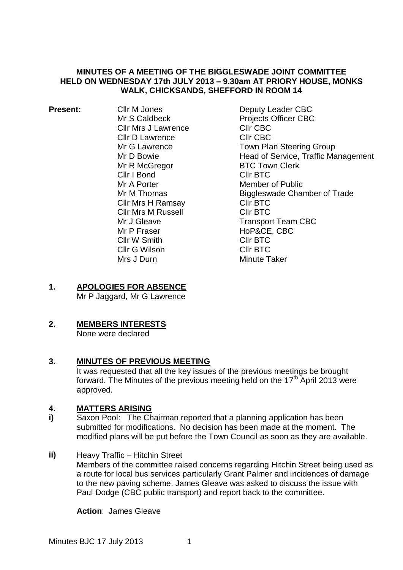### **MINUTES OF A MEETING OF THE BIGGLESWADE JOINT COMMITTEE HELD ON WEDNESDAY 17th JULY 2013 – 9.30am AT PRIORY HOUSE, MONKS WALK, CHICKSANDS, SHEFFORD IN ROOM 14**

| <b>Present:</b> | Cllr M Jones               |
|-----------------|----------------------------|
|                 | Mr S Caldbeck              |
|                 | <b>Cllr Mrs J Lawrence</b> |
|                 | Cllr D Lawrence            |
|                 | Mr G Lawrence              |
|                 | Mr D Bowie                 |
|                 | Mr R McGregor              |
|                 | Cllr I Bond                |
|                 | Mr A Porter                |
|                 | Mr M Thomas                |
|                 | Cllr Mrs H Ramsay          |
|                 | Cllr Mrs M Russell         |
|                 | Mr J Gleave                |
|                 | Mr P Fraser                |
|                 | Cllr W Smith               |
|                 | Cllr G Wilson              |
|                 | Mrs J Durn                 |

Deputy Leader CBC Projects Officer CBC Cllr CBC Cllr CBC Town Plan Steering Group Head of Service, Traffic Management BTC Town Clerk Cllr BTC Member of Public Biggleswade Chamber of Trade Cllr BTC Cllr BTC Transport Team CBC HoP&CE, CBC Cllr BTC Cllr BTC Minute Taker

# **1. APOLOGIES FOR ABSENCE**

Mr P Jaggard, Mr G Lawrence

# **2. MEMBERS INTERESTS**

None were declared

## **3. MINUTES OF PREVIOUS MEETING**

It was requested that all the key issues of the previous meetings be brought forward. The Minutes of the previous meeting held on the 17<sup>th</sup> April 2013 were approved.

## **4. MATTERS ARISING**

- **i)** Saxon Pool: The Chairman reported that a planning application has been submitted for modifications. No decision has been made at the moment. The modified plans will be put before the Town Council as soon as they are available.
- **ii)** Heavy Traffic Hitchin Street
	- Members of the committee raised concerns regarding Hitchin Street being used as a route for local bus services particularly Grant Palmer and incidences of damage to the new paving scheme. James Gleave was asked to discuss the issue with Paul Dodge (CBC public transport) and report back to the committee.

**Action**: James Gleave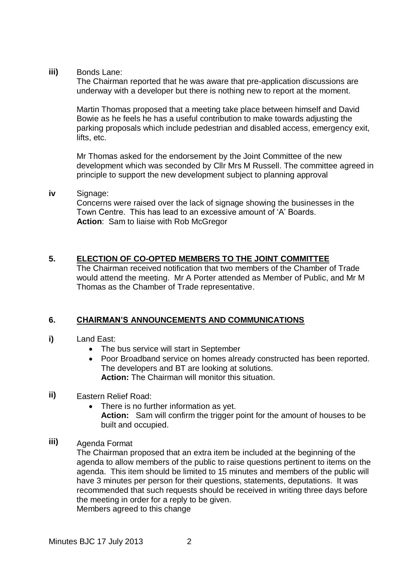**iii)** Bonds Lane:

The Chairman reported that he was aware that pre-application discussions are underway with a developer but there is nothing new to report at the moment.

Martin Thomas proposed that a meeting take place between himself and David Bowie as he feels he has a useful contribution to make towards adjusting the parking proposals which include pedestrian and disabled access, emergency exit, lifts, etc.

Mr Thomas asked for the endorsement by the Joint Committee of the new development which was seconded by Cllr Mrs M Russell. The committee agreed in principle to support the new development subject to planning approval

### **iv** Signage:

Concerns were raised over the lack of signage showing the businesses in the Town Centre. This has lead to an excessive amount of 'A' Boards. **Action**: Sam to liaise with Rob McGregor

### **5. ELECTION OF CO-OPTED MEMBERS TO THE JOINT COMMITTEE**

The Chairman received notification that two members of the Chamber of Trade would attend the meeting. Mr A Porter attended as Member of Public, and Mr M Thomas as the Chamber of Trade representative.

#### **6. CHAIRMAN'S ANNOUNCEMENTS AND COMMUNICATIONS**

- **i)** Land East:
	- The bus service will start in September
	- Poor Broadband service on homes already constructed has been reported. The developers and BT are looking at solutions. **Action:** The Chairman will monitor this situation.

#### **ii)** Eastern Relief Road:

- There is no further information as yet. **Action:** Sam will confirm the trigger point for the amount of houses to be built and occupied.
- **iii)** Agenda Format

The Chairman proposed that an extra item be included at the beginning of the agenda to allow members of the public to raise questions pertinent to items on the agenda. This item should be limited to 15 minutes and members of the public will have 3 minutes per person for their questions, statements, deputations. It was recommended that such requests should be received in writing three days before the meeting in order for a reply to be given. Members agreed to this change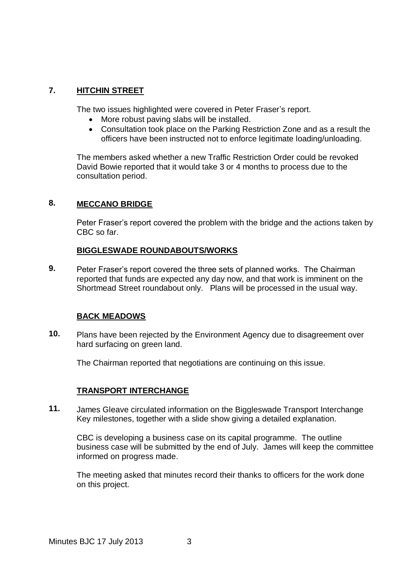#### **7. HITCHIN STREET**

The two issues highlighted were covered in Peter Fraser's report.

- More robust paving slabs will be installed.
- Consultation took place on the Parking Restriction Zone and as a result the officers have been instructed not to enforce legitimate loading/unloading.

The members asked whether a new Traffic Restriction Order could be revoked David Bowie reported that it would take 3 or 4 months to process due to the consultation period.

#### **8. MECCANO BRIDGE**

Peter Fraser's report covered the problem with the bridge and the actions taken by CBC so far.

### **BIGGLESWADE ROUNDABOUTS/WORKS**

**9.** Peter Fraser's report covered the three sets of planned works. The Chairman reported that funds are expected any day now, and that work is imminent on the Shortmead Street roundabout only. Plans will be processed in the usual way.

## **BACK MEADOWS**

**10.** Plans have been rejected by the Environment Agency due to disagreement over hard surfacing on green land.

The Chairman reported that negotiations are continuing on this issue.

## **TRANSPORT INTERCHANGE**

**11.** James Gleave circulated information on the Biggleswade Transport Interchange Key milestones, together with a slide show giving a detailed explanation.

CBC is developing a business case on its capital programme. The outline business case will be submitted by the end of July. James will keep the committee informed on progress made.

The meeting asked that minutes record their thanks to officers for the work done on this project.